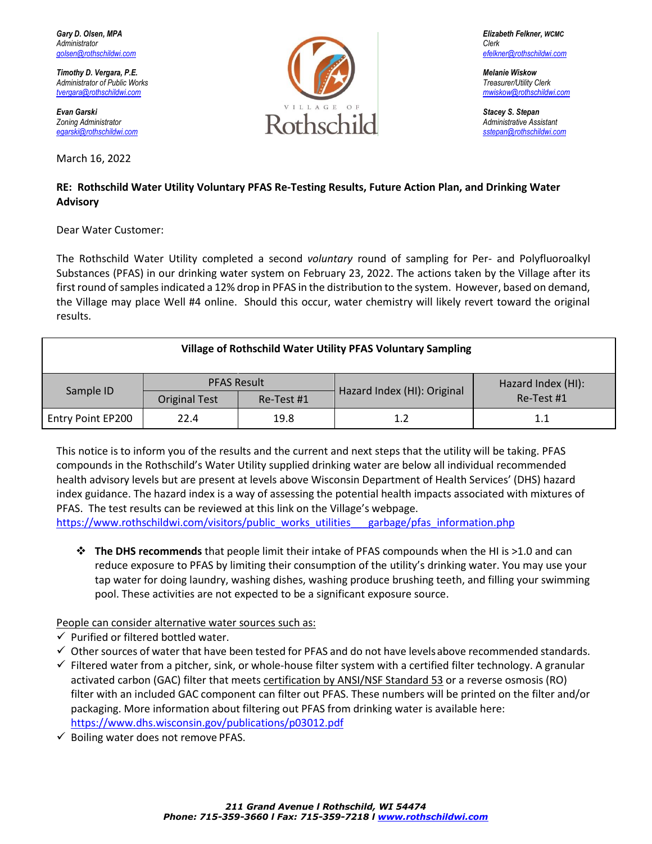$Administrator$  of Public Works

March 16, 2022



## **RE: Rothschild Water Utility Voluntary PFAS Re-Testing Results, Future Action Plan, and Drinking Water Advisory**

Dear Water Customer:

The Rothschild Water Utility completed a second *voluntary* round of sampling for Per- and Polyfluoroalkyl Substances (PFAS) in our drinking water system on February 23, 2022. The actions taken by the Village after its first round of samples indicated a 12% drop in PFAS in the distribution to the system. However, based on demand, the Village may place Well #4 online. Should this occur, water chemistry will likely revert toward the original results.

## **Village of Rothschild Water Utility PFAS Voluntary Sampling** Sample ID PFAS Result Hazard Index (HI): Original Hazard Index (HI):  $\left| \frac{H\left( H\right) }{R\right|} \right|$ Original Test | Re-Test #1 Entry Point EP200 22.4 19.8 1.2 1.1

This notice is to inform you of the results and the current and next steps that the utility will be taking. PFAS compounds in the Rothschild's Water Utility supplied drinking water are below all individual recommended health advisory levels but are present at levels above Wisconsin Department of Health Services' (DHS) hazard index guidance. The hazard index is a way of assessing the potential health impacts associated with mixtures of PFAS. The test results can be reviewed at this link on the Village's webpage.

[https://www.rothschildwi.com/visitors/public\\_works\\_utilities\\_\\_\\_garbage/pfas\\_information.php](https://www.rothschildwi.com/visitors/public_works_utilities___garbage/pfas_information.php)

❖ **The DHS recommends** that people limit their intake of PFAS compounds when the HI is >1.0 and can reduce exposure to PFAS by limiting their consumption of the utility's drinking water. You may use your tap water for doing laundry, washing dishes, washing produce brushing teeth, and filling your swimming pool. These activities are not expected to be a significant exposure source.

People can consider alternative water sources such as:

- $\checkmark$  Purified or filtered bottled water.
- ✓ Other sources of water that have been tested for PFAS and do not have levelsabove recommended standards.
- $\checkmark$  Filtered water from a pitcher, sink, or whole-house filter system with a certified filter technology. A granular activated carbon (GAC) filter that meets certification by ANSI/NSF Standard 53 or a reverse osmosis (RO) filter with an included GAC component can filter out PFAS. These numbers will be printed on the filter and/or packaging. More information about filtering out PFAS from drinking water is available here: <https://www.dhs.wisconsin.gov/publications/p03012.pdf>
- $\checkmark$  Boiling water does not remove PFAS.